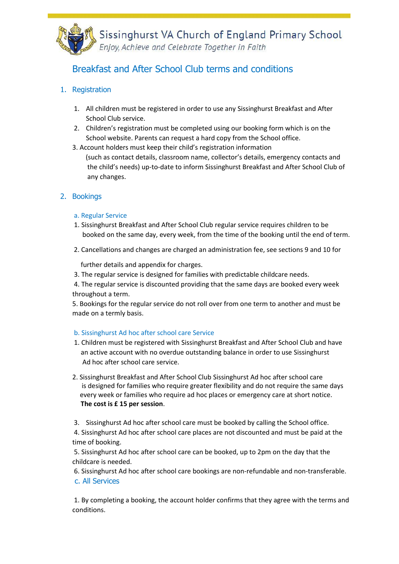

Sissinghurst VA Church of England Primary School<br>Enjoy, Achieve and Celebrate Together in Faith

# Breakfast and After School Club terms and conditions

### 1. Registration

- 1. All children must be registered in order to use any Sissinghurst Breakfast and After School Club service.
- 2. Children's registration must be completed using our booking form which is on the School website. Parents can request a hard copy from the School office.
- 3. Account holders must keep their child's registration information (such as contact details, classroom name, collector's details, emergency contacts and the child's needs) up-to-date to inform Sissinghurst Breakfast and After School Club of any changes.

### 2. Bookings

#### a. Regular Service

- 1. Sissinghurst Breakfast and After School Club regular service requires children to be booked on the same day, every week, from the time of the booking until the end of term.
- 2. Cancellations and changes are charged an administration fee, see sections 9 and 10 for

further details and appendix for charges.

3. The regular service is designed for families with predictable childcare needs.

4. The regular service is discounted providing that the same days are booked every week throughout a term.

5. Bookings for the regular service do not roll over from one term to another and must be made on a termly basis.

#### b. Sissinghurst Ad hoc after school care Service

- 1. Children must be registered with Sissinghurst Breakfast and After School Club and have an active account with no overdue outstanding balance in order to use Sissinghurst Ad hoc after school care service.
- 2. Sissinghurst Breakfast and After School Club Sissinghurst Ad hoc after school care is designed for families who require greater flexibility and do not require the same days every week or families who require ad hoc places or emergency care at short notice. **The cost is £ 15 per session**.
- 3. Sissinghurst Ad hoc after school care must be booked by calling the School office.

4. Sissinghurst Ad hoc after school care places are not discounted and must be paid at the time of booking.

5. Sissinghurst Ad hoc after school care can be booked, up to 2pm on the day that the childcare is needed.

6. Sissinghurst Ad hoc after school care bookings are non-refundable and non-transferable. c. All Services

1. By completing a booking, the account holder confirms that they agree with the terms and conditions.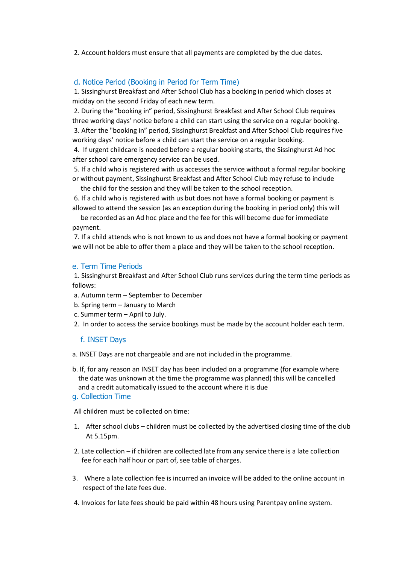2. Account holders must ensure that all payments are completed by the due dates.

#### d. Notice Period (Booking in Period for Term Time)

1. Sissinghurst Breakfast and After School Club has a booking in period which closes at midday on the second Friday of each new term.

2. During the "booking in" period, Sissinghurst Breakfast and After School Club requires three working days' notice before a child can start using the service on a regular booking. 3. After the "booking in" period, Sissinghurst Breakfast and After School Club requires five working days' notice before a child can start the service on a regular booking.

4. If urgent childcare is needed before a regular booking starts, the Sissinghurst Ad hoc after school care emergency service can be used.

5. If a child who is registered with us accesses the service without a formal regular booking or without payment, Sissinghurst Breakfast and After School Club may refuse to include

the child for the session and they will be taken to the school reception.

6. If a child who is registered with us but does not have a formal booking or payment is allowed to attend the session (as an exception during the booking in period only) this will

 be recorded as an Ad hoc place and the fee for this will become due for immediate payment.

7. If a child attends who is not known to us and does not have a formal booking or payment we will not be able to offer them a place and they will be taken to the school reception.

#### e. Term Time Periods

1. Sissinghurst Breakfast and After School Club runs services during the term time periods as follows:

- a. Autumn term September to December
- b. Spring term January to March
- c. Summer term April to July.
- 2. In order to access the service bookings must be made by the account holder each term.

#### f. INSET Days

a. INSET Days are not chargeable and are not included in the programme.

b. If, for any reason an INSET day has been included on a programme (for example where the date was unknown at the time the programme was planned) this will be cancelled and a credit automatically issued to the account where it is due

#### g. Collection Time

All children must be collected on time:

- 1. After school clubs children must be collected by the advertised closing time of the club At 5.15pm.
- 2. Late collection if children are collected late from any service there is a late collection fee for each half hour or part of, see table of charges.
- 3. Where a late collection fee is incurred an invoice will be added to the online account in respect of the late fees due.
- 4. Invoices for late fees should be paid within 48 hours using Parentpay online system.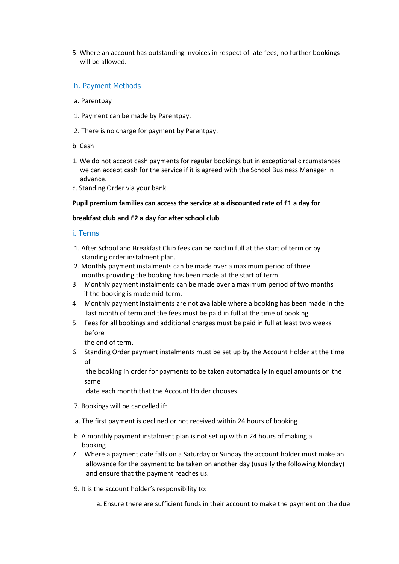5. Where an account has outstanding invoices in respect of late fees, no further bookings will be allowed.

#### h. Payment Methods

- a. Parentpay
- 1. Payment can be made by Parentpay.
- 2. There is no charge for payment by Parentpay.
- b. Cash
- 1. We do not accept cash payments for regular bookings but in exceptional circumstances we can accept cash for the service if it is agreed with the School Business Manager in advance.
- c. Standing Order via your bank.

#### **Pupil premium families can access the service at a discounted rate of £1 a day for**

#### **breakfast club and £2 a day for after school club**

#### i. Terms

- 1. After School and Breakfast Club fees can be paid in full at the start of term or by standing order instalment plan.
- 2. Monthly payment instalments can be made over a maximum period of three months providing the booking has been made at the start of term.
- 3. Monthly payment instalments can be made over a maximum period of two months if the booking is made mid-term.
- 4. Monthly payment instalments are not available where a booking has been made in the last month of term and the fees must be paid in full at the time of booking.
- 5. Fees for all bookings and additional charges must be paid in full at least two weeks before

the end of term.

6. Standing Order payment instalments must be set up by the Account Holder at the time of

the booking in order for payments to be taken automatically in equal amounts on the same

date each month that the Account Holder chooses.

- 7. Bookings will be cancelled if:
- a. The first payment is declined or not received within 24 hours of booking
- b. A monthly payment instalment plan is not set up within 24 hours of making a booking
- 7. Where a payment date falls on a Saturday or Sunday the account holder must make an allowance for the payment to be taken on another day (usually the following Monday) and ensure that the payment reaches us.
- 9. It is the account holder's responsibility to:
	- a. Ensure there are sufficient funds in their account to make the payment on the due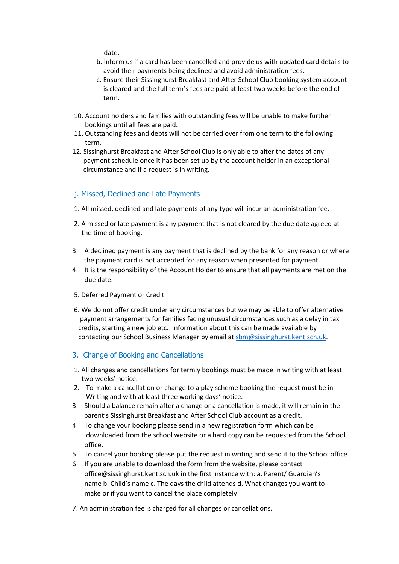date.

- b. Inform us if a card has been cancelled and provide us with updated card details to avoid their payments being declined and avoid administration fees.
- c. Ensure their Sissinghurst Breakfast and After School Club booking system account is cleared and the full term's fees are paid at least two weeks before the end of term.
- 10. Account holders and families with outstanding fees will be unable to make further bookings until all fees are paid.
- 11. Outstanding fees and debts will not be carried over from one term to the following term.
- 12. Sissinghurst Breakfast and After School Club is only able to alter the dates of any payment schedule once it has been set up by the account holder in an exceptional circumstance and if a request is in writing.

#### j. Missed, Declined and Late Payments

- 1. All missed, declined and late payments of any type will incur an administration fee.
- 2. A missed or late payment is any payment that is not cleared by the due date agreed at the time of booking.
- 3. A declined payment is any payment that is declined by the bank for any reason or where the payment card is not accepted for any reason when presented for payment.
- 4. It is the responsibility of the Account Holder to ensure that all payments are met on the due date.
- 5. Deferred Payment or Credit
- 6. We do not offer credit under any circumstances but we may be able to offer alternative payment arrangements for families facing unusual circumstances such as a delay in tax credits, starting a new job etc. Information about this can be made available by contacting our School Business Manager by email a[t sbm@sissinghurst.kent.sch.uk.](mailto:sbm@sissinghurst.kent.sch.uk)
- 3. Change of Booking and Cancellations
- 1. All changes and cancellations for termly bookings must be made in writing with at least two weeks' notice.
- 2. To make a cancellation or change to a play scheme booking the request must be in Writing and with at least three working days' notice.
- 3. Should a balance remain after a change or a cancellation is made, it will remain in the parent's Sissinghurst Breakfast and After School Club account as a credit.
- 4. To change your booking please send in a new registration form which can be downloaded from the school website or a hard copy can be requested from the School office.
- 5. To cancel your booking please put the request in writing and send it to the School office.
- 6. If you are unable to download the form from the website, please contact office@sissinghurst.kent.sch.uk in the first instance with: a. Parent/ Guardian's name b. Child's name c. The days the child attends d. What changes you want to make or if you want to cancel the place completely.
- 7. An administration fee is charged for all changes or cancellations.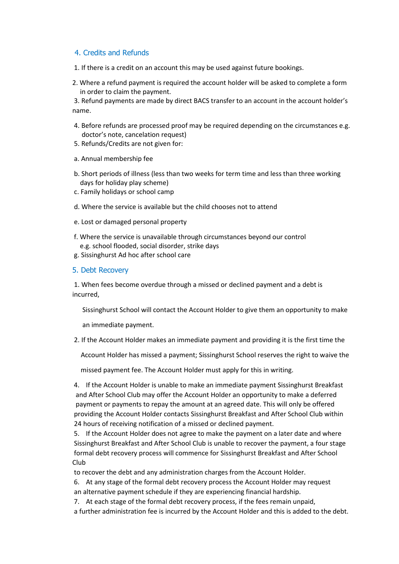#### 4. Credits and Refunds

- 1. If there is a credit on an account this may be used against future bookings.
- 2. Where a refund payment is required the account holder will be asked to complete a form in order to claim the payment.

3. Refund payments are made by direct BACS transfer to an account in the account holder's name.

- 4. Before refunds are processed proof may be required depending on the circumstances e.g. doctor's note, cancelation request)
- 5. Refunds/Credits are not given for:
- a. Annual membership fee
- b. Short periods of illness (less than two weeks for term time and less than three working days for holiday play scheme)
- c. Family holidays or school camp
- d. Where the service is available but the child chooses not to attend
- e. Lost or damaged personal property
- f. Where the service is unavailable through circumstances beyond our control e.g. school flooded, social disorder, strike days
- g. Sissinghurst Ad hoc after school care
- 5. Debt Recovery

1. When fees become overdue through a missed or declined payment and a debt is incurred,

Sissinghurst School will contact the Account Holder to give them an opportunity to make

an immediate payment.

2. If the Account Holder makes an immediate payment and providing it is the first time the

Account Holder has missed a payment; Sissinghurst School reserves the right to waive the

missed payment fee. The Account Holder must apply for this in writing.

4. If the Account Holder is unable to make an immediate payment Sissinghurst Breakfast and After School Club may offer the Account Holder an opportunity to make a deferred payment or payments to repay the amount at an agreed date. This will only be offered providing the Account Holder contacts Sissinghurst Breakfast and After School Club within 24 hours of receiving notification of a missed or declined payment.

5. If the Account Holder does not agree to make the payment on a later date and where Sissinghurst Breakfast and After School Club is unable to recover the payment, a four stage formal debt recovery process will commence for Sissinghurst Breakfast and After School Club

to recover the debt and any administration charges from the Account Holder.

- 6. At any stage of the formal debt recovery process the Account Holder may request
- an alternative payment schedule if they are experiencing financial hardship.
- 7. At each stage of the formal debt recovery process, if the fees remain unpaid,

a further administration fee is incurred by the Account Holder and this is added to the debt.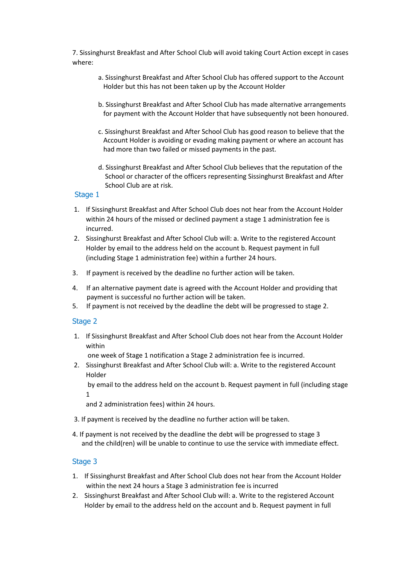7. Sissinghurst Breakfast and After School Club will avoid taking Court Action except in cases where:

- a. Sissinghurst Breakfast and After School Club has offered support to the Account Holder but this has not been taken up by the Account Holder
- b. Sissinghurst Breakfast and After School Club has made alternative arrangements for payment with the Account Holder that have subsequently not been honoured.
- c. Sissinghurst Breakfast and After School Club has good reason to believe that the Account Holder is avoiding or evading making payment or where an account has had more than two failed or missed payments in the past.
- d. Sissinghurst Breakfast and After School Club believes that the reputation of the School or character of the officers representing Sissinghurst Breakfast and After School Club are at risk.

#### Stage 1

- 1. If Sissinghurst Breakfast and After School Club does not hear from the Account Holder within 24 hours of the missed or declined payment a stage 1 administration fee is incurred.
- 2. Sissinghurst Breakfast and After School Club will: a. Write to the registered Account Holder by email to the address held on the account b. Request payment in full (including Stage 1 administration fee) within a further 24 hours.
- 3. If payment is received by the deadline no further action will be taken.
- 4. If an alternative payment date is agreed with the Account Holder and providing that payment is successful no further action will be taken.
- 5. If payment is not received by the deadline the debt will be progressed to stage 2.

#### Stage 2

1. If Sissinghurst Breakfast and After School Club does not hear from the Account Holder within

one week of Stage 1 notification a Stage 2 administration fee is incurred.

2. Sissinghurst Breakfast and After School Club will: a. Write to the registered Account Holder

by email to the address held on the account b. Request payment in full (including stage 1

and 2 administration fees) within 24 hours.

- 3. If payment is received by the deadline no further action will be taken.
- 4. If payment is not received by the deadline the debt will be progressed to stage 3 and the child(ren) will be unable to continue to use the service with immediate effect.

#### Stage 3

- 1. If Sissinghurst Breakfast and After School Club does not hear from the Account Holder within the next 24 hours a Stage 3 administration fee is incurred
- 2. Sissinghurst Breakfast and After School Club will: a. Write to the registered Account Holder by email to the address held on the account and b. Request payment in full